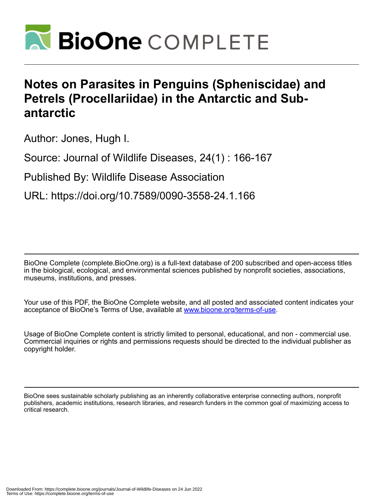

## **Notes on Parasites in Penguins (Spheniscidae) and Petrels (Procellariidae) in the Antarctic and Subantarctic**

Author: Jones, Hugh I.

Source: Journal of Wildlife Diseases, 24(1) : 166-167

Published By: Wildlife Disease Association

URL: https://doi.org/10.7589/0090-3558-24.1.166

BioOne Complete (complete.BioOne.org) is a full-text database of 200 subscribed and open-access titles in the biological, ecological, and environmental sciences published by nonprofit societies, associations, museums, institutions, and presses.

Your use of this PDF, the BioOne Complete website, and all posted and associated content indicates your acceptance of BioOne's Terms of Use, available at www.bioone.org/terms-of-use.

Usage of BioOne Complete content is strictly limited to personal, educational, and non - commercial use. Commercial inquiries or rights and permissions requests should be directed to the individual publisher as copyright holder.

BioOne sees sustainable scholarly publishing as an inherently collaborative enterprise connecting authors, nonprofit publishers, academic institutions, research libraries, and research funders in the common goal of maximizing access to critical research.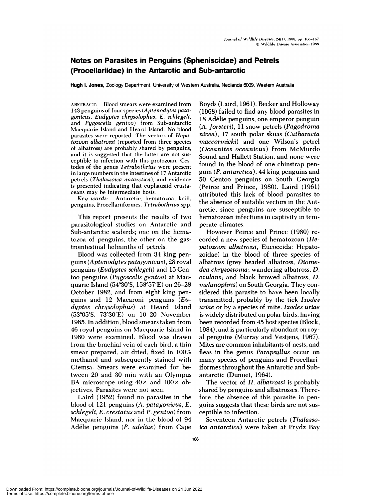## **Notes on Parasites in Penguins (Spheniscidae) and Petrels (Procellariidae) in the Antarctic and Sub-antarctic**

**Hugh I. Jones,** Zoology Department, University of Western Australia, Nedlands 6009, Western Australia

**ABSTRACT:** Blood smears were examined from 143 penguins of four species *(Aptenodytes patagonicus, Eudyptes chrysobophus, E. schiegeli,* and *Pygoscehis gentoo)* **from** Sub-antarctic Macquarie Island and Heard Island. No blood parasites were reported. The vectors of *Hepatozoon abbatrossi* (reported from three species of albatross) are probably shared by penguins, and it is suggested that the latter are not sus ceptible to infection with this protozoan. Cestodes of the genus *Tetrabothrius* were present in large numbers in the intestines of 17 Antarctic petrels **(** *Thabassoica an tarctica* ), and evidence is presented indicating that euphausiid crusta ceans may be intermediate hosts.

*Key words:* Antarctic, hematozoa, krill, penguins, Procellariiformes, *Tetrabothrius* spp.

This report presents the results of two parasitological studies on Antarctic and Sub-antarctic seabirds; one on the hematozoa of penguins, the other on the gastrointestinal helminths of petrels.

Blood was collected from 34 king pengums *(Aptenodytes patagonicus),* 28 royal penguins *(Eudyptes sch!ege!i)* and 15 Gentoo penguins *(Pygoscehis gentoo)* at Macquarie Island (54°30'S, 158°57'E) on 26-28 October 1982, and from eight king pengums and 12 Macaroni penguins *(Eudyptes chrysolophus)* **at** Heard Island (53°05'S, 73°30'E) on 10-20 November 1985. In addition, blood smears taken from 46 royal penguins on Macquarie Island in 1980 were examined. Blood was drawn from the brachial vein of each bird, a thin smear prepared, air dried, fixed in 100% methanol and subsequently stained with Giemsa. Smears were examined for between 20 and 30 min with an Olympus BA microscope using  $40 \times$  and  $100 \times$  objectives. Parasites were not seen.

Laird (1952) found no parasites in the blood of 121 penguins *(A. patagonicus, E. schiegehi, E. crestatus* and *P. gentoo)* from Macquarie Island, nor in the blood of 94 Adélie penguins *(P. adeliae)* from Cape

Royds (Laird, 1961). Becker and Holloway (1968) failed to find any blood parasites in 18 Adélie penguins, one emperor penguin *(A. forsteri),* 1 1 snow petrels *(Pagodroina nivea),* 17 south polar skuas *(Catharacta rnaccarmicki)* and one Wilson's petrel *(Oceanites oceanicus)* from McMurdo Sound and Hallett Station, and none were found in the blood of one chinstrap pengum *(P. antarctica),* 44 king penguins and 50 Gentoo penguins on South Georgia (Peirce and Prince, 1980). Laird (1961) attributed this lack of blood parasites to the absence of suitable vectors in the Antarctic, since penguins are susceptible to hematozoan infections in captivity in temperate climates.

However Peirce and Prince (1980) re corded a new species of hematozoan *(Hepatozoon albatrossi,* Eucoccida : Hepatozoidae) in the blood of three species of albatross (grey headed albatross, *Diomedea chrysostorna;* wandering albatross, *D. exu!ans;* and black browed albatross, *D. melanophris)* on South Georgia. They con sidered this parasite to have been locally transmitted, probably by the tick *Ixodes uriae* or by a species of mite. *Ixodes uriae* is widely distributed on polar birds, having been recorded from 45 host species (Block, 1984), and is particularly abundant on royal penguins (Murray and Vestjens, 1967). Mites are common inhabitants of nests, and fleas in the genus *Parapsy!lus* occur on many species of penguins and Procellariiformes throughout the Antarctic and Subantarctic (Dunnet, 1964).

The vector of *H. albatrossi* **is** probably shared by penguins and albatrosses. Therefore, the absence of this parasite in pengums suggests that these birds are not sus ceptible to infection.

Seventeen Antarctic petrels *(Thalassoica antarctica)* were taken at Prydz Bay